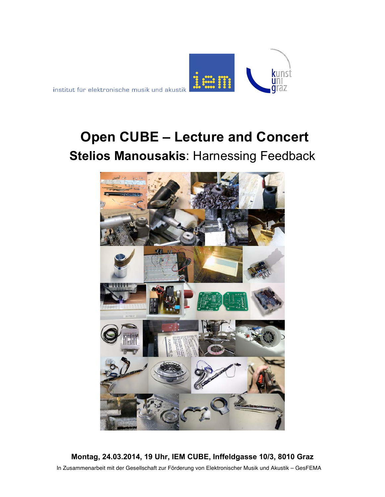

# **Open CUBE – Lecture and Concert Stelios Manousakis**: Harnessing Feedback



**Montag, 24.03.2014, 19 Uhr, IEM CUBE, Inffeldgasse 10/3, 8010 Graz** In Zusammenarbeit mit der Gesellschaft zur Förderung von Elektronischer Musik und Akustik – GesFEMA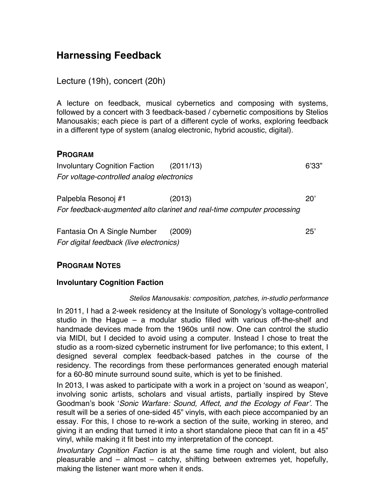# **Harnessing Feedback**

Lecture (19h), concert (20h)

A lecture on feedback, musical cybernetics and composing with systems, followed by a concert with 3 feedback-based / cybernetic compositions by Stelios Manousakis; each piece is part of a different cycle of works, exploring feedback in a different type of system (analog electronic, hybrid acoustic, digital).

# **PROGRAM**

| <b>Involuntary Cognition Faction</b>                                   | (2011/13) | 6'33" |
|------------------------------------------------------------------------|-----------|-------|
| For voltage-controlled analog electronics                              |           |       |
|                                                                        |           |       |
| Palpebla Resonoj #1                                                    | (2013)    | 20    |
| For feedback-augmented alto clarinet and real-time computer processing |           |       |
|                                                                        |           |       |
| Fantasia On A Single Number                                            | (2009)    | 25'   |
| For digital feedback (live electronics)                                |           |       |

# **PROGRAM NOTES**

### **Involuntary Cognition Faction**

#### *Stelios Manousakis: composition, patches, in-studio performance*

In 2011, I had a 2-week residency at the Insitute of Sonology's voltage-controlled studio in the Hague – a modular studio filled with various off-the-shelf and handmade devices made from the 1960s until now. One can control the studio via MIDI, but I decided to avoid using a computer. Instead I chose to treat the studio as a room-sized cybernetic instrument for live perfomance; to this extent, I designed several complex feedback-based patches in the course of the residency. The recordings from these performances generated enough material for a 60-80 minute surround sound suite, which is yet to be finished.

In 2013, I was asked to participate with a work in a project on 'sound as weapon', involving sonic artists, scholars and visual artists, partially inspired by Steve Goodman's book '*Sonic Warfare: Sound, Affect, and the Ecology of Fear'*. The result will be a series of one-sided 45" vinyls, with each piece accompanied by an essay. For this, I chose to re-work a section of the suite, working in stereo, and giving it an ending that turned it into a short standalone piece that can fit in a 45" vinyl, while making it fit best into my interpretation of the concept.

*Involuntary Cognition Faction* is at the same time rough and violent, but also pleasurable and – almost – catchy, shifting between extremes yet, hopefully, making the listener want more when it ends.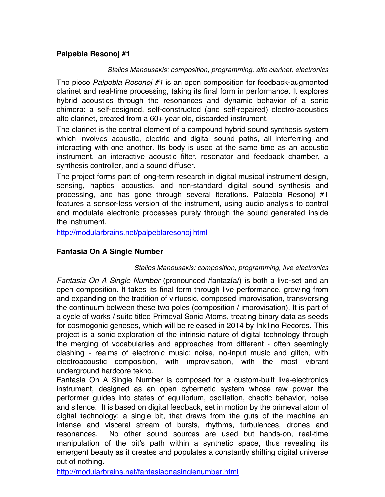## **Palpebla Resonoj #1**

#### *Stelios Manousakis: composition, programming, alto clarinet, electronics*

The piece *Palpebla Resonoj #1* is an open composition for feedback-augmented clarinet and real-time processing, taking its final form in performance. It explores hybrid acoustics through the resonances and dynamic behavior of a sonic chimera: a self-designed, self-constructed (and self-repaired) electro-acoustics alto clarinet, created from a 60+ year old, discarded instrument.

The clarinet is the central element of a compound hybrid sound synthesis system which involves acoustic, electric and digital sound paths, all interferring and interacting with one another. Its body is used at the same time as an acoustic instrument, an interactive acoustic filter, resonator and feedback chamber, a synthesis controller, and a sound diffuser.

The project forms part of long-term research in digital musical instrument design, sensing, haptics, acoustics, and non-standard digital sound synthesis and processing, and has gone through several iterations. Palpebla Resonoj #1 features a sensor-less version of the instrument, using audio analysis to control and modulate electronic processes purely through the sound generated inside the instrument.

http://modularbrains.net/palpeblaresonoj.html

# **Fantasia On A Single Number**

#### *Stelios Manousakis: composition, programming, live electronics*

*Fantasia On A Single Number* (pronounced /fantazía/) is both a live-set and an open composition. It takes its final form through live performance, growing from and expanding on the tradition of virtuosic, composed improvisation, transversing the continuum between these two poles (composition / improvisation). It is part of a cycle of works / suite titled Primeval Sonic Atoms, treating binary data as seeds for cosmogonic geneses, which will be released in 2014 by Inkilino Records. This project is a sonic exploration of the intrinsic nature of digital technology through the merging of vocabularies and approaches from different - often seemingly clashing - realms of electronic music: noise, no-input music and glitch, with electroacoustic composition, with improvisation, with the most vibrant underground hardcore tekno.

Fantasia On A Single Number is composed for a custom-built live-electronics instrument, designed as an open cybernetic system whose raw power the performer guides into states of equilibrium, oscillation, chaotic behavior, noise and silence. It is based on digital feedback, set in motion by the primeval atom of digital technology: a single bit, that draws from the guts of the machine an intense and visceral stream of bursts, rhythms, turbulences, drones and resonances. No other sound sources are used but hands-on, real-time manipulation of the bit's path within a synthetic space, thus revealing its emergent beauty as it creates and populates a constantly shifting digital universe out of nothing.